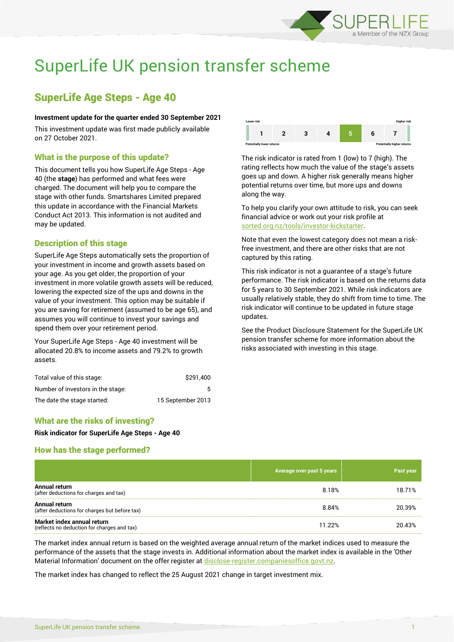

# SuperLife UK pension transfer scheme

# SuperLife Age Steps - Age 40

#### **Investment update for the quarter ended 30 September 2021**

This investment update was first made publicly available on 27 October 2021.

# What is the purpose of this update?

This document tells you how SuperLife Age Steps - Age 40 (the **stage**) has performed and what fees were charged. The document will help you to compare the stage with other funds. Smartshares Limited prepared this update in accordance with the Financial Markets Conduct Act 2013. This information is not audited and may be updated.

# Description of this stage

SuperLife Age Steps automatically sets the proportion of your investment in income and growth assets based on your age. As you get older, the proportion of your investment in more volatile growth assets will be reduced, lowering the expected size of the ups and downs in the value of your investment. This option may be suitable if you are saving for retirement (assumed to be age 65), and assumes you will continue to invest your savings and spend them over your retirement period.

Your SuperLife Age Steps - Age 40 investment will be allocated 20.8% to income assets and 79.2% to growth assets.

| Total value of this stage:        | \$291.400         |
|-----------------------------------|-------------------|
| Number of investors in the stage: |                   |
| The date the stage started:       | 15 September 2013 |



The risk indicator is rated from 1 (low) to 7 (high). The rating reflects how much the value of the stage's assets goes up and down. A higher risk generally means higher potential returns over time, but more ups and downs along the way.

To help you clarify your own attitude to risk, you can seek financial advice or work out your risk profile at [sorted.org.nz/tools/investor-kickstarter.](http://www.sorted.org.nz/tools/investor-kickstarter)

Note that even the lowest category does not mean a riskfree investment, and there are other risks that are not captured by this rating.

This risk indicator is not a guarantee of a stage's future performance. The risk indicator is based on the returns data for 5 years to 30 September 2021. While risk indicators are usually relatively stable, they do shift from time to time. The risk indicator will continue to be updated in future stage updates.

See the Product Disclosure Statement for the SuperLife UK pension transfer scheme for more information about the risks associated with investing in this stage.

# What are the risks of investing?

**Risk indicator for SuperLife Age Steps - Age 40**

# How has the stage performed?

|                                                                           | Average over past 5 years | Past year |
|---------------------------------------------------------------------------|---------------------------|-----------|
| Annual return<br>(after deductions for charges and tax)                   | 8.18%                     | 18.71%    |
| Annual return<br>(after deductions for charges but before tax)            | 8.84%                     | 20.39%    |
| Market index annual return<br>(reflects no deduction for charges and tax) | 11.22%                    | 20.43%    |

The market index annual return is based on the weighted average annual return of the market indices used to measure the performance of the assets that the stage invests in. Additional information about the market index is available in the 'Other Material Information' document on the offer register at [disclose-register.companiesoffice.govt.nz.](http://www.disclose-register.companiesoffice.govt.nz/)

The market index has changed to reflect the 25 August 2021 change in target investment mix.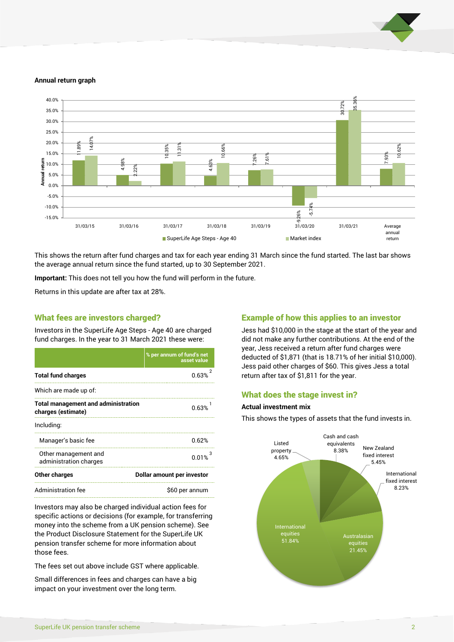

#### **Annual return graph**



This shows the return after fund charges and tax for each year ending 31 March since the fund started. The last bar shows the average annual return since the fund started, up to 30 September 2021.

**Important:** This does not tell you how the fund will perform in the future.

Returns in this update are after tax at 28%.

#### What fees are investors charged?

Investors in the SuperLife Age Steps - Age 40 are charged fund charges. In the year to 31 March 2021 these were:

|                                                                  | % per annum of fund's net<br>asset value |  |
|------------------------------------------------------------------|------------------------------------------|--|
| <b>Total fund charges</b>                                        | 0.63%                                    |  |
| Which are made up of:                                            |                                          |  |
| <b>Total management and administration</b><br>charges (estimate) | 0.63%                                    |  |
| Including:                                                       |                                          |  |
| Manager's basic fee                                              | በ.62%                                    |  |
| Other management and<br>administration charges                   | 0.01%                                    |  |
| <b>Other charges</b>                                             | Dollar amount per investor               |  |
| Administration fee                                               | \$60 per annum                           |  |

Investors may also be charged individual action fees for specific actions or decisions (for example, for transferring money into the scheme from a UK pension scheme). See the Product Disclosure Statement for the SuperLife UK pension transfer scheme for more information about those fees.

The fees set out above include GST where applicable.

Small differences in fees and charges can have a big impact on your investment over the long term.

# Example of how this applies to an investor

Jess had \$10,000 in the stage at the start of the year and did not make any further contributions. At the end of the year, Jess received a return after fund charges were deducted of \$1,871 (that is 18.71% of her initial \$10,000). Jess paid other charges of \$60. This gives Jess a total return after tax of \$1,811 for the year.

#### What does the stage invest in?

#### **Actual investment mix**

This shows the types of assets that the fund invests in.

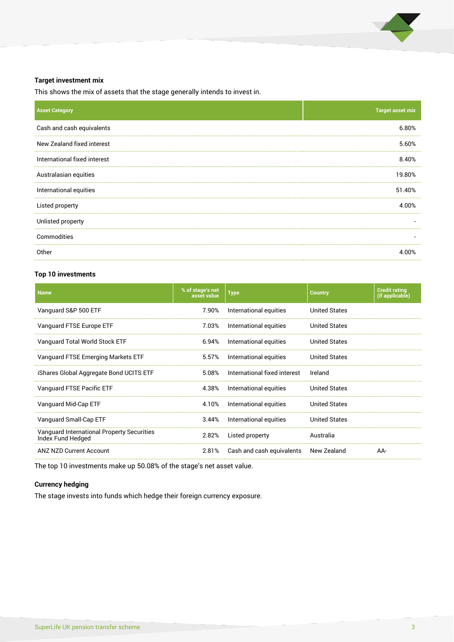

#### **Target investment mix**

This shows the mix of assets that the stage generally intends to invest in.

| <b>Asset Category</b>        | <b>Target asset mix</b>  |
|------------------------------|--------------------------|
| Cash and cash equivalents    | 6.80%                    |
| New Zealand fixed interest   | 5.60%                    |
| International fixed interest | 8.40%                    |
| Australasian equities        | 19.80%                   |
| International equities       | 51.40%                   |
| Listed property              | 4.00%                    |
| Unlisted property            | $\overline{\phantom{a}}$ |
| Commodities                  | $\overline{\phantom{a}}$ |
| Other                        | 4.00%                    |

# **Top 10 investments**

| <b>Name</b>                                                     | % of stage's net<br>asset value | <b>Type</b>                  | <b>Country</b>       | <b>Credit rating</b><br>(if applicable) |
|-----------------------------------------------------------------|---------------------------------|------------------------------|----------------------|-----------------------------------------|
| Vanguard S&P 500 ETF                                            | 7.90%                           | International equities       | United States        |                                         |
| Vanguard FTSE Europe ETF                                        | 7.03%                           | International equities       | <b>United States</b> |                                         |
| Vanguard Total World Stock ETF                                  | 6.94%                           | International equities       | <b>United States</b> |                                         |
| Vanguard FTSE Emerging Markets ETF                              | 5.57%                           | International equities       | <b>United States</b> |                                         |
| iShares Global Aggregate Bond UCITS ETF                         | 5.08%                           | International fixed interest | Ireland              |                                         |
| Vanguard FTSE Pacific ETF                                       | 4.38%                           | International equities       | <b>United States</b> |                                         |
| Vanguard Mid-Cap ETF                                            | 4.10%                           | International equities       | <b>United States</b> |                                         |
| Vanguard Small-Cap ETF                                          | 3.44%                           | International equities       | <b>United States</b> |                                         |
| Vanguard International Property Securities<br>Index Fund Hedged | 2.82%                           | Listed property              | Australia            |                                         |
| <b>ANZ NZD Current Account</b>                                  | 2.81%                           | Cash and cash equivalents    | New Zealand          | AA-                                     |
|                                                                 |                                 |                              |                      |                                         |

The top 10 investments make up 50.08% of the stage's net asset value.

# **Currency hedging**

The stage invests into funds which hedge their foreign currency exposure.